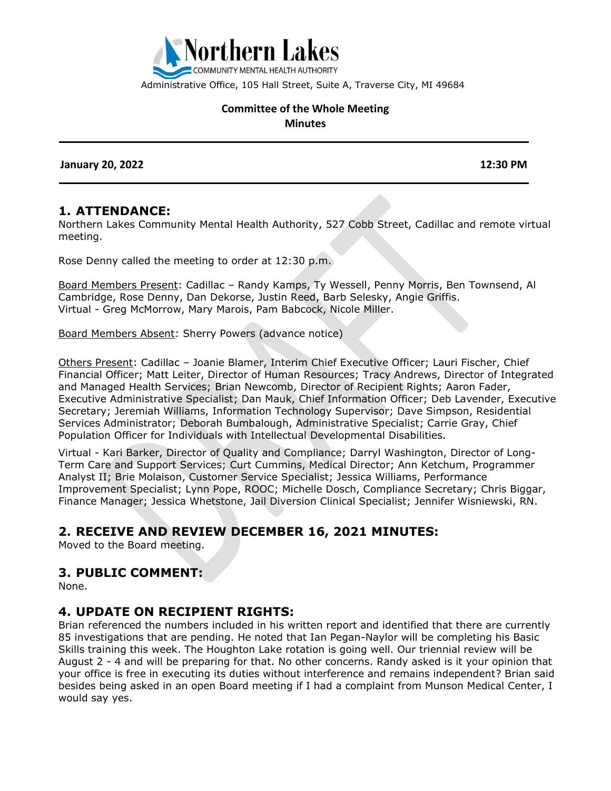

Administrative Office, 105 Hall Street, Suite A, Traverse City, MI 49684

#### **Committee of the Whole Meeting Minutes**

 **January 20, 2022 12:30 PM**

#### **1. ATTENDANCE:**

Northern Lakes Community Mental Health Authority, 527 Cobb Street, Cadillac and remote virtual meeting.

Rose Denny called the meeting to order at 12:30 p.m.

Board Members Present: Cadillac – Randy Kamps, Ty Wessell, Penny Morris, Ben Townsend, Al Cambridge, Rose Denny, Dan Dekorse, Justin Reed, Barb Selesky, Angie Griffis. Virtual - Greg McMorrow, Mary Marois, Pam Babcock, Nicole Miller.

Board Members Absent: Sherry Powers (advance notice)

Others Present: Cadillac – Joanie Blamer, Interim Chief Executive Officer; Lauri Fischer, Chief Financial Officer; Matt Leiter, Director of Human Resources; Tracy Andrews, Director of Integrated and Managed Health Services; Brian Newcomb, Director of Recipient Rights; Aaron Fader, Executive Administrative Specialist; Dan Mauk, Chief Information Officer; Deb Lavender, Executive Secretary; Jeremiah Williams, Information Technology Supervisor; Dave Simpson, Residential Services Administrator; Deborah Bumbalough, Administrative Specialist; Carrie Gray, Chief Population Officer for Individuals with Intellectual Developmental Disabilities.

Virtual - Kari Barker, Director of Quality and Compliance; Darryl Washington, Director of Long-Term Care and Support Services; Curt Cummins, Medical Director; Ann Ketchum, Programmer Analyst II; Brie Molaison, Customer Service Specialist; Jessica Williams, Performance Improvement Specialist; Lynn Pope, ROOC; Michelle Dosch, Compliance Secretary; Chris Biggar, Finance Manager; Jessica Whetstone, Jail Diversion Clinical Specialist; Jennifer Wisniewski, RN.

# **2. RECEIVE AND REVIEW DECEMBER 16, 2021 MINUTES:**

Moved to the Board meeting.

## **3. PUBLIC COMMENT:**

None.

## **4. UPDATE ON RECIPIENT RIGHTS:**

Brian referenced the numbers included in his written report and identified that there are currently 85 investigations that are pending. He noted that Ian Pegan-Naylor will be completing his Basic Skills training this week. The Houghton Lake rotation is going well. Our triennial review will be August 2 - 4 and will be preparing for that. No other concerns. Randy asked is it your opinion that your office is free in executing its duties without interference and remains independent? Brian said besides being asked in an open Board meeting if I had a complaint from Munson Medical Center, I would say yes.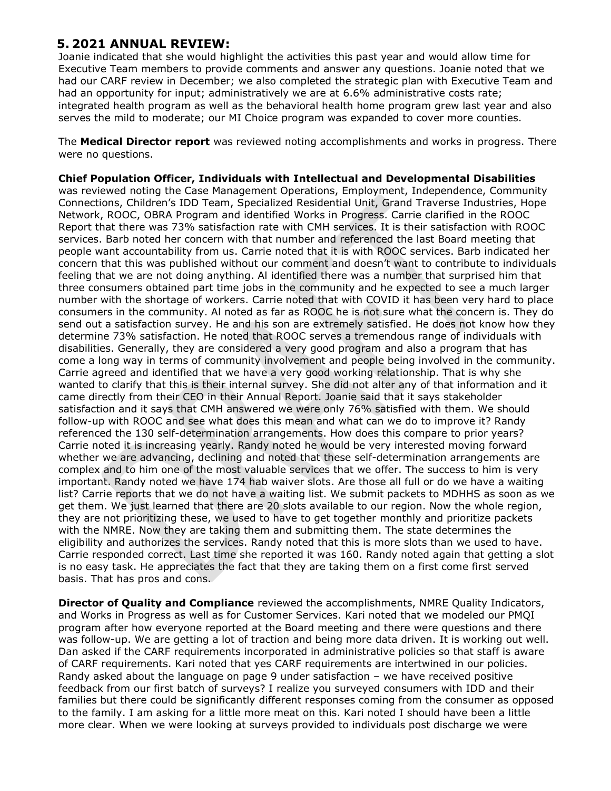# **5. 2021 ANNUAL REVIEW:**

Joanie indicated that she would highlight the activities this past year and would allow time for Executive Team members to provide comments and answer any questions. Joanie noted that we had our CARF review in December; we also completed the strategic plan with Executive Team and had an opportunity for input; administratively we are at 6.6% administrative costs rate; integrated health program as well as the behavioral health home program grew last year and also serves the mild to moderate; our MI Choice program was expanded to cover more counties.

The **Medical Director report** was reviewed noting accomplishments and works in progress. There were no questions.

**Chief Population Officer, Individuals with Intellectual and Developmental Disabilities** was reviewed noting the Case Management Operations, Employment, Independence, Community Connections, Children's IDD Team, Specialized Residential Unit, Grand Traverse Industries, Hope Network, ROOC, OBRA Program and identified Works in Progress. Carrie clarified in the ROOC Report that there was 73% satisfaction rate with CMH services. It is their satisfaction with ROOC services. Barb noted her concern with that number and referenced the last Board meeting that people want accountability from us. Carrie noted that it is with ROOC services. Barb indicated her concern that this was published without our comment and doesn't want to contribute to individuals feeling that we are not doing anything. Al identified there was a number that surprised him that three consumers obtained part time jobs in the community and he expected to see a much larger number with the shortage of workers. Carrie noted that with COVID it has been very hard to place consumers in the community. Al noted as far as ROOC he is not sure what the concern is. They do send out a satisfaction survey. He and his son are extremely satisfied. He does not know how they determine 73% satisfaction. He noted that ROOC serves a tremendous range of individuals with disabilities. Generally, they are considered a very good program and also a program that has come a long way in terms of community involvement and people being involved in the community. Carrie agreed and identified that we have a very good working relationship. That is why she wanted to clarify that this is their internal survey. She did not alter any of that information and it came directly from their CEO in their Annual Report. Joanie said that it says stakeholder satisfaction and it says that CMH answered we were only 76% satisfied with them. We should follow-up with ROOC and see what does this mean and what can we do to improve it? Randy referenced the 130 self-determination arrangements. How does this compare to prior years? Carrie noted it is increasing yearly. Randy noted he would be very interested moving forward whether we are advancing, declining and noted that these self-determination arrangements are complex and to him one of the most valuable services that we offer. The success to him is very important. Randy noted we have 174 hab waiver slots. Are those all full or do we have a waiting list? Carrie reports that we do not have a waiting list. We submit packets to MDHHS as soon as we get them. We just learned that there are 20 slots available to our region. Now the whole region, they are not prioritizing these, we used to have to get together monthly and prioritize packets with the NMRE. Now they are taking them and submitting them. The state determines the eligibility and authorizes the services. Randy noted that this is more slots than we used to have. Carrie responded correct. Last time she reported it was 160. Randy noted again that getting a slot is no easy task. He appreciates the fact that they are taking them on a first come first served basis. That has pros and cons.

**Director of Quality and Compliance** reviewed the accomplishments, NMRE Quality Indicators, and Works in Progress as well as for Customer Services. Kari noted that we modeled our PMQI program after how everyone reported at the Board meeting and there were questions and there was follow-up. We are getting a lot of traction and being more data driven. It is working out well. Dan asked if the CARF requirements incorporated in administrative policies so that staff is aware of CARF requirements. Kari noted that yes CARF requirements are intertwined in our policies. Randy asked about the language on page 9 under satisfaction – we have received positive feedback from our first batch of surveys? I realize you surveyed consumers with IDD and their families but there could be significantly different responses coming from the consumer as opposed to the family. I am asking for a little more meat on this. Kari noted I should have been a little more clear. When we were looking at surveys provided to individuals post discharge we were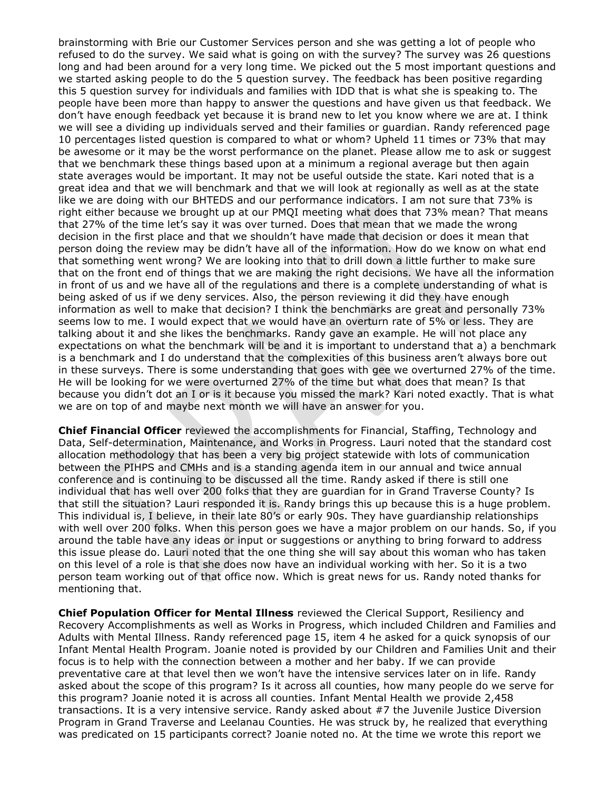brainstorming with Brie our Customer Services person and she was getting a lot of people who refused to do the survey. We said what is going on with the survey? The survey was 26 questions long and had been around for a very long time. We picked out the 5 most important questions and we started asking people to do the 5 question survey. The feedback has been positive regarding this 5 question survey for individuals and families with IDD that is what she is speaking to. The people have been more than happy to answer the questions and have given us that feedback. We don't have enough feedback yet because it is brand new to let you know where we are at. I think we will see a dividing up individuals served and their families or guardian. Randy referenced page 10 percentages listed question is compared to what or whom? Upheld 11 times or 73% that may be awesome or it may be the worst performance on the planet. Please allow me to ask or suggest that we benchmark these things based upon at a minimum a regional average but then again state averages would be important. It may not be useful outside the state. Kari noted that is a great idea and that we will benchmark and that we will look at regionally as well as at the state like we are doing with our BHTEDS and our performance indicators. I am not sure that 73% is right either because we brought up at our PMQI meeting what does that 73% mean? That means that 27% of the time let's say it was over turned. Does that mean that we made the wrong decision in the first place and that we shouldn't have made that decision or does it mean that person doing the review may be didn't have all of the information. How do we know on what end that something went wrong? We are looking into that to drill down a little further to make sure that on the front end of things that we are making the right decisions. We have all the information in front of us and we have all of the regulations and there is a complete understanding of what is being asked of us if we deny services. Also, the person reviewing it did they have enough information as well to make that decision? I think the benchmarks are great and personally 73% seems low to me. I would expect that we would have an overturn rate of 5% or less. They are talking about it and she likes the benchmarks. Randy gave an example. He will not place any expectations on what the benchmark will be and it is important to understand that a) a benchmark is a benchmark and I do understand that the complexities of this business aren't always bore out in these surveys. There is some understanding that goes with gee we overturned 27% of the time. He will be looking for we were overturned 27% of the time but what does that mean? Is that because you didn't dot an I or is it because you missed the mark? Kari noted exactly. That is what we are on top of and maybe next month we will have an answer for you.

**Chief Financial Officer** reviewed the accomplishments for Financial, Staffing, Technology and Data, Self-determination, Maintenance, and Works in Progress. Lauri noted that the standard cost allocation methodology that has been a very big project statewide with lots of communication between the PIHPS and CMHs and is a standing agenda item in our annual and twice annual conference and is continuing to be discussed all the time. Randy asked if there is still one individual that has well over 200 folks that they are guardian for in Grand Traverse County? Is that still the situation? Lauri responded it is. Randy brings this up because this is a huge problem. This individual is, I believe, in their late 80's or early 90s. They have guardianship relationships with well over 200 folks. When this person goes we have a major problem on our hands. So, if you around the table have any ideas or input or suggestions or anything to bring forward to address this issue please do. Lauri noted that the one thing she will say about this woman who has taken on this level of a role is that she does now have an individual working with her. So it is a two person team working out of that office now. Which is great news for us. Randy noted thanks for mentioning that.

**Chief Population Officer for Mental Illness** reviewed the Clerical Support, Resiliency and Recovery Accomplishments as well as Works in Progress, which included Children and Families and Adults with Mental Illness. Randy referenced page 15, item 4 he asked for a quick synopsis of our Infant Mental Health Program. Joanie noted is provided by our Children and Families Unit and their focus is to help with the connection between a mother and her baby. If we can provide preventative care at that level then we won't have the intensive services later on in life. Randy asked about the scope of this program? Is it across all counties, how many people do we serve for this program? Joanie noted it is across all counties. Infant Mental Health we provide 2,458 transactions. It is a very intensive service. Randy asked about #7 the Juvenile Justice Diversion Program in Grand Traverse and Leelanau Counties. He was struck by, he realized that everything was predicated on 15 participants correct? Joanie noted no. At the time we wrote this report we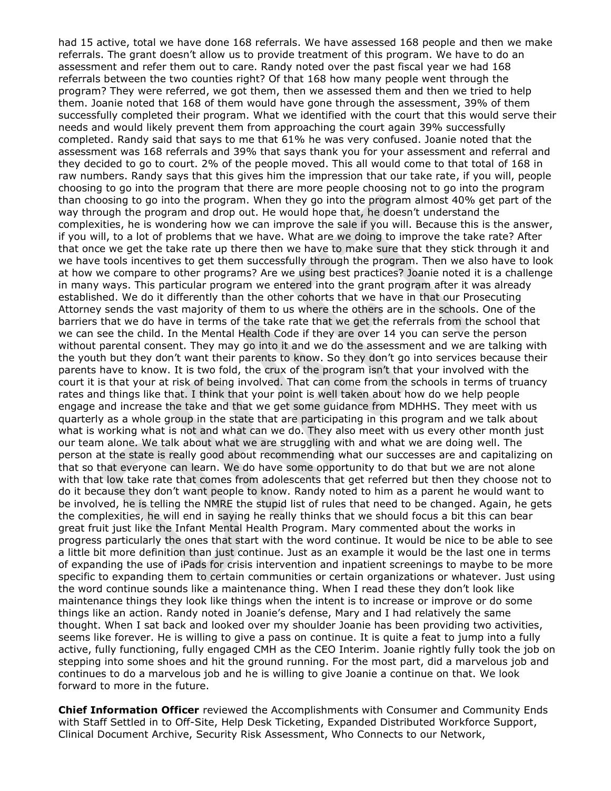had 15 active, total we have done 168 referrals. We have assessed 168 people and then we make referrals. The grant doesn't allow us to provide treatment of this program. We have to do an assessment and refer them out to care. Randy noted over the past fiscal year we had 168 referrals between the two counties right? Of that 168 how many people went through the program? They were referred, we got them, then we assessed them and then we tried to help them. Joanie noted that 168 of them would have gone through the assessment, 39% of them successfully completed their program. What we identified with the court that this would serve their needs and would likely prevent them from approaching the court again 39% successfully completed. Randy said that says to me that 61% he was very confused. Joanie noted that the assessment was 168 referrals and 39% that says thank you for your assessment and referral and they decided to go to court. 2% of the people moved. This all would come to that total of 168 in raw numbers. Randy says that this gives him the impression that our take rate, if you will, people choosing to go into the program that there are more people choosing not to go into the program than choosing to go into the program. When they go into the program almost 40% get part of the way through the program and drop out. He would hope that, he doesn't understand the complexities, he is wondering how we can improve the sale if you will. Because this is the answer, if you will, to a lot of problems that we have. What are we doing to improve the take rate? After that once we get the take rate up there then we have to make sure that they stick through it and we have tools incentives to get them successfully through the program. Then we also have to look at how we compare to other programs? Are we using best practices? Joanie noted it is a challenge in many ways. This particular program we entered into the grant program after it was already established. We do it differently than the other cohorts that we have in that our Prosecuting Attorney sends the vast majority of them to us where the others are in the schools. One of the barriers that we do have in terms of the take rate that we get the referrals from the school that we can see the child. In the Mental Health Code if they are over 14 you can serve the person without parental consent. They may go into it and we do the assessment and we are talking with the youth but they don't want their parents to know. So they don't go into services because their parents have to know. It is two fold, the crux of the program isn't that your involved with the court it is that your at risk of being involved. That can come from the schools in terms of truancy rates and things like that. I think that your point is well taken about how do we help people engage and increase the take and that we get some guidance from MDHHS. They meet with us quarterly as a whole group in the state that are participating in this program and we talk about what is working what is not and what can we do. They also meet with us every other month just our team alone. We talk about what we are struggling with and what we are doing well. The person at the state is really good about recommending what our successes are and capitalizing on that so that everyone can learn. We do have some opportunity to do that but we are not alone with that low take rate that comes from adolescents that get referred but then they choose not to do it because they don't want people to know. Randy noted to him as a parent he would want to be involved, he is telling the NMRE the stupid list of rules that need to be changed. Again, he gets the complexities, he will end in saying he really thinks that we should focus a bit this can bear great fruit just like the Infant Mental Health Program. Mary commented about the works in progress particularly the ones that start with the word continue. It would be nice to be able to see a little bit more definition than just continue. Just as an example it would be the last one in terms of expanding the use of iPads for crisis intervention and inpatient screenings to maybe to be more specific to expanding them to certain communities or certain organizations or whatever. Just using the word continue sounds like a maintenance thing. When I read these they don't look like maintenance things they look like things when the intent is to increase or improve or do some things like an action. Randy noted in Joanie's defense, Mary and I had relatively the same thought. When I sat back and looked over my shoulder Joanie has been providing two activities, seems like forever. He is willing to give a pass on continue. It is quite a feat to jump into a fully active, fully functioning, fully engaged CMH as the CEO Interim. Joanie rightly fully took the job on stepping into some shoes and hit the ground running. For the most part, did a marvelous job and continues to do a marvelous job and he is willing to give Joanie a continue on that. We look forward to more in the future.

**Chief Information Officer** reviewed the Accomplishments with Consumer and Community Ends with Staff Settled in to Off-Site, Help Desk Ticketing, Expanded Distributed Workforce Support, Clinical Document Archive, Security Risk Assessment, Who Connects to our Network,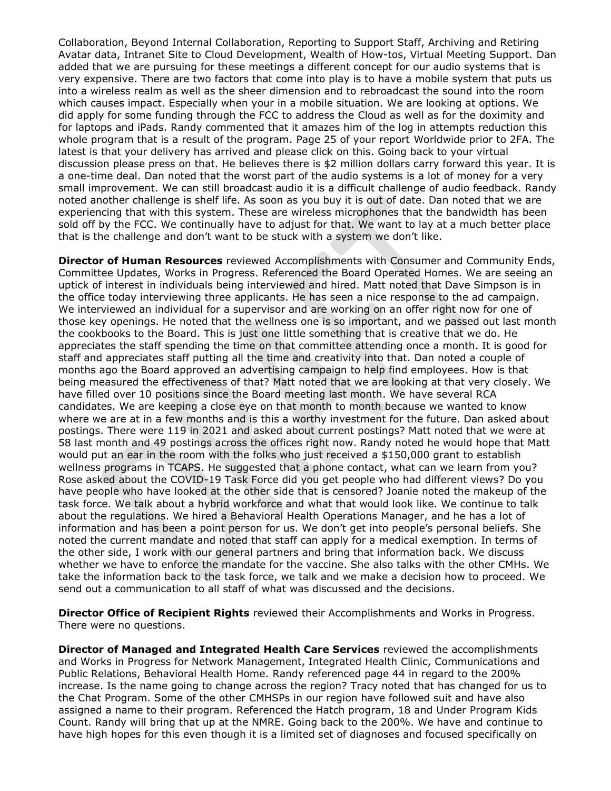Collaboration, Beyond Internal Collaboration, Reporting to Support Staff, Archiving and Retiring Avatar data, Intranet Site to Cloud Development, Wealth of How-tos, Virtual Meeting Support. Dan added that we are pursuing for these meetings a different concept for our audio systems that is very expensive. There are two factors that come into play is to have a mobile system that puts us into a wireless realm as well as the sheer dimension and to rebroadcast the sound into the room which causes impact. Especially when your in a mobile situation. We are looking at options. We did apply for some funding through the FCC to address the Cloud as well as for the doximity and for laptops and iPads. Randy commented that it amazes him of the log in attempts reduction this whole program that is a result of the program. Page 25 of your report Worldwide prior to 2FA. The latest is that your delivery has arrived and please click on this. Going back to your virtual discussion please press on that. He believes there is \$2 million dollars carry forward this year. It is a one-time deal. Dan noted that the worst part of the audio systems is a lot of money for a very small improvement. We can still broadcast audio it is a difficult challenge of audio feedback. Randy noted another challenge is shelf life. As soon as you buy it is out of date. Dan noted that we are experiencing that with this system. These are wireless microphones that the bandwidth has been sold off by the FCC. We continually have to adjust for that. We want to lay at a much better place that is the challenge and don't want to be stuck with a system we don't like.

**Director of Human Resources** reviewed Accomplishments with Consumer and Community Ends, Committee Updates, Works in Progress. Referenced the Board Operated Homes. We are seeing an uptick of interest in individuals being interviewed and hired. Matt noted that Dave Simpson is in the office today interviewing three applicants. He has seen a nice response to the ad campaign. We interviewed an individual for a supervisor and are working on an offer right now for one of those key openings. He noted that the wellness one is so important, and we passed out last month the cookbooks to the Board. This is just one little something that is creative that we do. He appreciates the staff spending the time on that committee attending once a month. It is good for staff and appreciates staff putting all the time and creativity into that. Dan noted a couple of months ago the Board approved an advertising campaign to help find employees. How is that being measured the effectiveness of that? Matt noted that we are looking at that very closely. We have filled over 10 positions since the Board meeting last month. We have several RCA candidates. We are keeping a close eye on that month to month because we wanted to know where we are at in a few months and is this a worthy investment for the future. Dan asked about postings. There were 119 in 2021 and asked about current postings? Matt noted that we were at 58 last month and 49 postings across the offices right now. Randy noted he would hope that Matt would put an ear in the room with the folks who just received a \$150,000 grant to establish wellness programs in TCAPS. He suggested that a phone contact, what can we learn from you? Rose asked about the COVID-19 Task Force did you get people who had different views? Do you have people who have looked at the other side that is censored? Joanie noted the makeup of the task force. We talk about a hybrid workforce and what that would look like. We continue to talk about the regulations. We hired a Behavioral Health Operations Manager, and he has a lot of information and has been a point person for us. We don't get into people's personal beliefs. She noted the current mandate and noted that staff can apply for a medical exemption. In terms of the other side, I work with our general partners and bring that information back. We discuss whether we have to enforce the mandate for the vaccine. She also talks with the other CMHs. We take the information back to the task force, we talk and we make a decision how to proceed. We send out a communication to all staff of what was discussed and the decisions.

**Director Office of Recipient Rights** reviewed their Accomplishments and Works in Progress. There were no questions.

**Director of Managed and Integrated Health Care Services** reviewed the accomplishments and Works in Progress for Network Management, Integrated Health Clinic, Communications and Public Relations, Behavioral Health Home. Randy referenced page 44 in regard to the 200% increase. Is the name going to change across the region? Tracy noted that has changed for us to the Chat Program. Some of the other CMHSPs in our region have followed suit and have also assigned a name to their program. Referenced the Hatch program, 18 and Under Program Kids Count. Randy will bring that up at the NMRE. Going back to the 200%. We have and continue to have high hopes for this even though it is a limited set of diagnoses and focused specifically on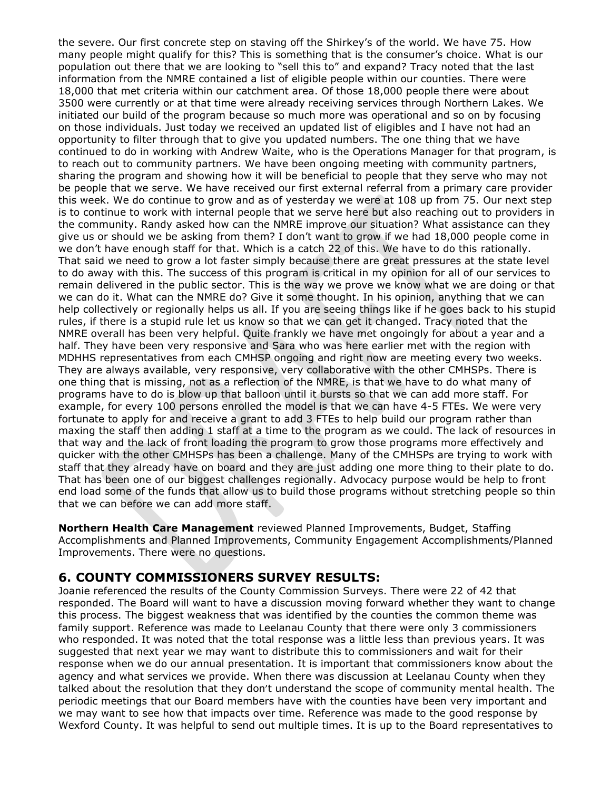the severe. Our first concrete step on staving off the Shirkey's of the world. We have 75. How many people might qualify for this? This is something that is the consumer's choice. What is our population out there that we are looking to "sell this to" and expand? Tracy noted that the last information from the NMRE contained a list of eligible people within our counties. There were 18,000 that met criteria within our catchment area. Of those 18,000 people there were about 3500 were currently or at that time were already receiving services through Northern Lakes. We initiated our build of the program because so much more was operational and so on by focusing on those individuals. Just today we received an updated list of eligibles and I have not had an opportunity to filter through that to give you updated numbers. The one thing that we have continued to do in working with Andrew Waite, who is the Operations Manager for that program, is to reach out to community partners. We have been ongoing meeting with community partners, sharing the program and showing how it will be beneficial to people that they serve who may not be people that we serve. We have received our first external referral from a primary care provider this week. We do continue to grow and as of yesterday we were at 108 up from 75. Our next step is to continue to work with internal people that we serve here but also reaching out to providers in the community. Randy asked how can the NMRE improve our situation? What assistance can they give us or should we be asking from them? I don't want to grow if we had 18,000 people come in we don't have enough staff for that. Which is a catch 22 of this. We have to do this rationally. That said we need to grow a lot faster simply because there are great pressures at the state level to do away with this. The success of this program is critical in my opinion for all of our services to remain delivered in the public sector. This is the way we prove we know what we are doing or that we can do it. What can the NMRE do? Give it some thought. In his opinion, anything that we can help collectively or regionally helps us all. If you are seeing things like if he goes back to his stupid rules, if there is a stupid rule let us know so that we can get it changed. Tracy noted that the NMRE overall has been very helpful. Quite frankly we have met ongoingly for about a year and a half. They have been very responsive and Sara who was here earlier met with the region with MDHHS representatives from each CMHSP ongoing and right now are meeting every two weeks. They are always available, very responsive, very collaborative with the other CMHSPs. There is one thing that is missing, not as a reflection of the NMRE, is that we have to do what many of programs have to do is blow up that balloon until it bursts so that we can add more staff. For example, for every 100 persons enrolled the model is that we can have 4-5 FTEs. We were very fortunate to apply for and receive a grant to add 3 FTEs to help build our program rather than maxing the staff then adding 1 staff at a time to the program as we could. The lack of resources in that way and the lack of front loading the program to grow those programs more effectively and quicker with the other CMHSPs has been a challenge. Many of the CMHSPs are trying to work with staff that they already have on board and they are just adding one more thing to their plate to do. That has been one of our biggest challenges regionally. Advocacy purpose would be help to front end load some of the funds that allow us to build those programs without stretching people so thin that we can before we can add more staff.

**Northern Health Care Management** reviewed Planned Improvements, Budget, Staffing Accomplishments and Planned Improvements, Community Engagement Accomplishments/Planned Improvements. There were no questions.

# **6. COUNTY COMMISSIONERS SURVEY RESULTS:**

Joanie referenced the results of the County Commission Surveys. There were 22 of 42 that responded. The Board will want to have a discussion moving forward whether they want to change this process. The biggest weakness that was identified by the counties the common theme was family support. Reference was made to Leelanau County that there were only 3 commissioners who responded. It was noted that the total response was a little less than previous years. It was suggested that next year we may want to distribute this to commissioners and wait for their response when we do our annual presentation. It is important that commissioners know about the agency and what services we provide. When there was discussion at Leelanau County when they talked about the resolution that they don't understand the scope of community mental health. The periodic meetings that our Board members have with the counties have been very important and we may want to see how that impacts over time. Reference was made to the good response by Wexford County. It was helpful to send out multiple times. It is up to the Board representatives to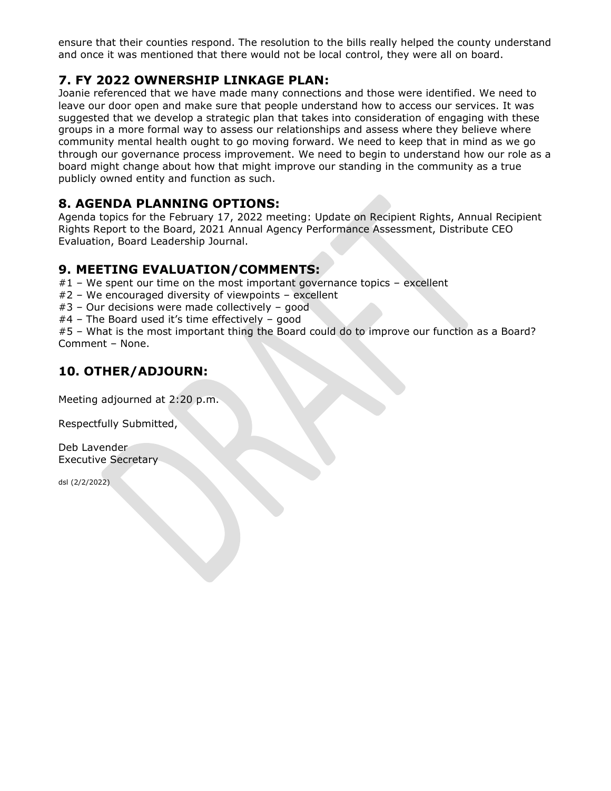ensure that their counties respond. The resolution to the bills really helped the county understand and once it was mentioned that there would not be local control, they were all on board.

# **7. FY 2022 OWNERSHIP LINKAGE PLAN:**

Joanie referenced that we have made many connections and those were identified. We need to leave our door open and make sure that people understand how to access our services. It was suggested that we develop a strategic plan that takes into consideration of engaging with these groups in a more formal way to assess our relationships and assess where they believe where community mental health ought to go moving forward. We need to keep that in mind as we go through our governance process improvement. We need to begin to understand how our role as a board might change about how that might improve our standing in the community as a true publicly owned entity and function as such.

# **8. AGENDA PLANNING OPTIONS:**

Agenda topics for the February 17, 2022 meeting: Update on Recipient Rights, Annual Recipient Rights Report to the Board, 2021 Annual Agency Performance Assessment, Distribute CEO Evaluation, Board Leadership Journal.

# **9. MEETING EVALUATION/COMMENTS:**

#1 – We spent our time on the most important governance topics – excellent

- #2 We encouraged diversity of viewpoints excellent
- #3 Our decisions were made collectively good
- #4 The Board used it's time effectively good

#5 – What is the most important thing the Board could do to improve our function as a Board? Comment – None.

# **10. OTHER/ADJOURN:**

Meeting adjourned at 2:20 p.m.

Respectfully Submitted,

Deb Lavender Executive Secretary

dsl (2/2/2022)